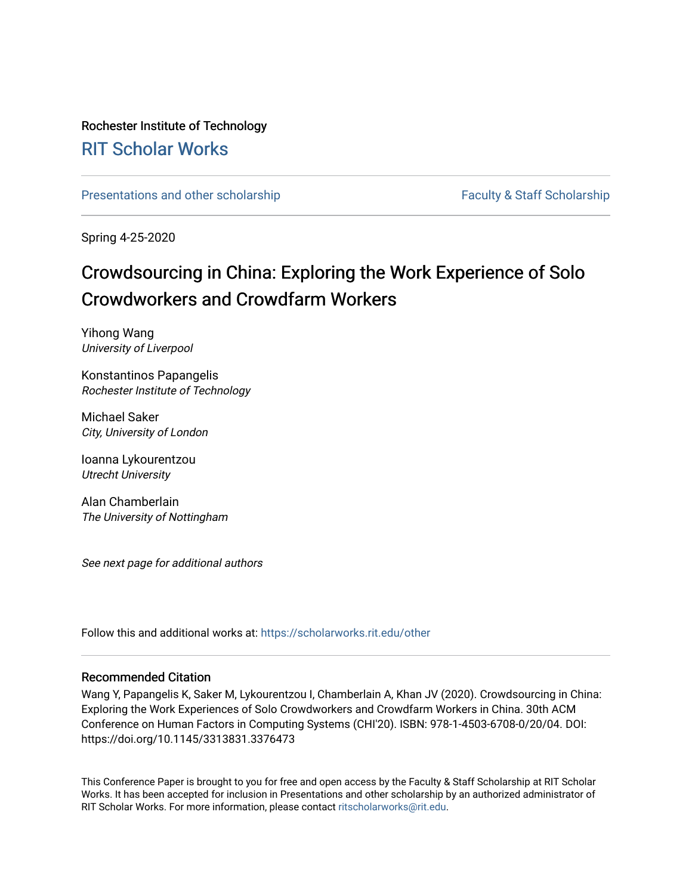# Rochester Institute of Technology [RIT Scholar Works](https://scholarworks.rit.edu/)

[Presentations and other scholarship](https://scholarworks.rit.edu/other) Faculty & Staff Scholarship

Spring 4-25-2020

# Crowdsourcing in China: Exploring the Work Experience of Solo Crowdworkers and Crowdfarm Workers

Yihong Wang University of Liverpool

Konstantinos Papangelis Rochester Institute of Technology

Michael Saker City, University of London

Ioanna Lykourentzou Utrecht University

Alan Chamberlain The University of Nottingham

See next page for additional authors

Follow this and additional works at: [https://scholarworks.rit.edu/other](https://scholarworks.rit.edu/other?utm_source=scholarworks.rit.edu%2Fother%2F923&utm_medium=PDF&utm_campaign=PDFCoverPages) 

### Recommended Citation

Wang Y, Papangelis K, Saker M, Lykourentzou I, Chamberlain A, Khan JV (2020). Crowdsourcing in China: Exploring the Work Experiences of Solo Crowdworkers and Crowdfarm Workers in China. 30th ACM Conference on Human Factors in Computing Systems (CHI'20). ISBN: 978-1-4503-6708-0/20/04. DOI: https://doi.org/10.1145/3313831.3376473

This Conference Paper is brought to you for free and open access by the Faculty & Staff Scholarship at RIT Scholar Works. It has been accepted for inclusion in Presentations and other scholarship by an authorized administrator of RIT Scholar Works. For more information, please contact [ritscholarworks@rit.edu.](mailto:ritscholarworks@rit.edu)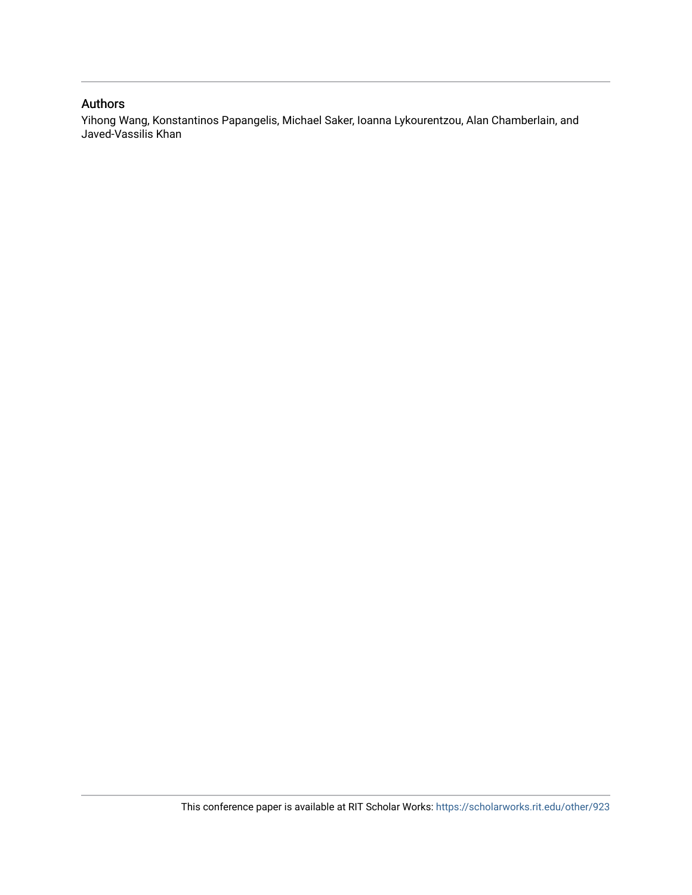## Authors

Yihong Wang, Konstantinos Papangelis, Michael Saker, Ioanna Lykourentzou, Alan Chamberlain, and Javed-Vassilis Khan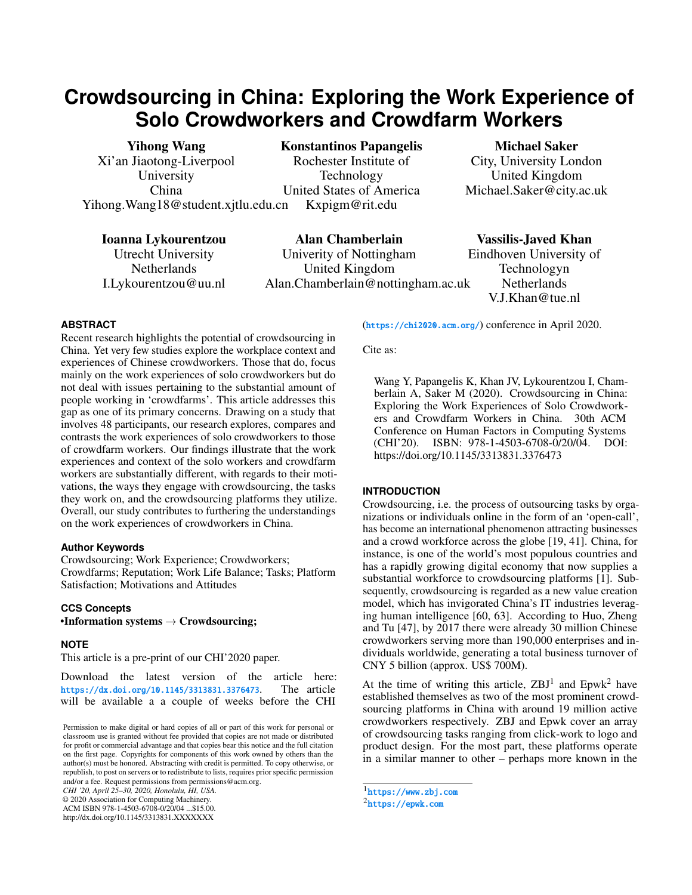# **Crowdsourcing in China: Exploring the Work Experience of Solo Crowdworkers and Crowdfarm Workers**

Yihong Wang Xi'an Jiaotong-Liverpool University China Yihong.Wang18@student.xjtlu.edu.cn

Konstantinos Papangelis Rochester Institute of Technology United States of America Kxpigm@rit.edu

Ioanna Lykourentzou Utrecht University **Netherlands** I.Lykourentzou@uu.nl

Alan Chamberlain Univerity of Nottingham United Kingdom Alan.Chamberlain@nottingham.ac.uk

Michael Saker City, University London United Kingdom Michael.Saker@city.ac.uk

Vassilis-Javed Khan Eindhoven University of Technologyn **Netherlands** V.J.Khan@tue.nl

#### **ABSTRACT**

Recent research highlights the potential of crowdsourcing in China. Yet very few studies explore the workplace context and experiences of Chinese crowdworkers. Those that do, focus mainly on the work experiences of solo crowdworkers but do not deal with issues pertaining to the substantial amount of people working in 'crowdfarms'. This article addresses this gap as one of its primary concerns. Drawing on a study that involves 48 participants, our research explores, compares and contrasts the work experiences of solo crowdworkers to those of crowdfarm workers. Our findings illustrate that the work experiences and context of the solo workers and crowdfarm workers are substantially different, with regards to their motivations, the ways they engage with crowdsourcing, the tasks they work on, and the crowdsourcing platforms they utilize. Overall, our study contributes to furthering the understandings on the work experiences of crowdworkers in China.

#### **Author Keywords**

Crowdsourcing; Work Experience; Crowdworkers; Crowdfarms; Reputation; Work Life Balance; Tasks; Platform Satisfaction; Motivations and Attitudes

#### **CCS Concepts**

•Information systems  $\rightarrow$  Crowdsourcing;

#### **NOTE**

This article is a pre-print of our CHI'2020 paper.

Download the latest version of the article here:<br>https://dx.doi.org/10.1145/3313831.3376473. The article <https://dx.doi.org/10.1145/3313831.3376473>. will be available a a couple of weeks before the CHI

*CHI '20, April 25–30, 2020, Honolulu, HI, USA.*

© 2020 Association for Computing Machinery.

ACM ISBN 978-1-4503-6708-0/20/04 ...\$15.00. http://dx.doi.org/10.1145/3313831.XXXXXXX

(<https://chi2020.acm.org/>) conference in April 2020.

Cite as:

Wang Y, Papangelis K, Khan JV, Lykourentzou I, Chamberlain A, Saker M (2020). Crowdsourcing in China: Exploring the Work Experiences of Solo Crowdworkers and Crowdfarm Workers in China. 30th ACM Conference on Human Factors in Computing Systems (CHI'20). ISBN: 978-1-4503-6708-0/20/04. DOI: https://doi.org/10.1145/3313831.3376473

### **INTRODUCTION**

Crowdsourcing, i.e. the process of outsourcing tasks by organizations or individuals online in the form of an 'open-call', has become an international phenomenon attracting businesses and a crowd workforce across the globe [\[19,](#page-12-0) [41\]](#page-13-0). China, for instance, is one of the world's most populous countries and has a rapidly growing digital economy that now supplies a substantial workforce to crowdsourcing platforms [\[1\]](#page-12-1). Subsequently, crowdsourcing is regarded as a new value creation model, which has invigorated China's IT industries leveraging human intelligence [\[60,](#page-14-0) [63\]](#page-14-1). According to Huo, Zheng and Tu [\[47\]](#page-14-2), by 2017 there were already 30 million Chinese crowdworkers serving more than 190,000 enterprises and individuals worldwide, generating a total business turnover of CNY 5 billion (approx. US\$ 700M).

At the time of writing this article,  $ZBJ<sup>1</sup>$  $ZBJ<sup>1</sup>$  $ZBJ<sup>1</sup>$  and  $Epwk<sup>2</sup>$  $Epwk<sup>2</sup>$  $Epwk<sup>2</sup>$  have established themselves as two of the most prominent crowdsourcing platforms in China with around 19 million active crowdworkers respectively. ZBJ and Epwk cover an array of crowdsourcing tasks ranging from click-work to logo and product design. For the most part, these platforms operate in a similar manner to other – perhaps more known in the

<span id="page-2-1"></span><span id="page-2-0"></span>1 <https://www.zbj.com>  $^2$ <https://epwk.com>

Permission to make digital or hard copies of all or part of this work for personal or classroom use is granted without fee provided that copies are not made or distributed for profit or commercial advantage and that copies bear this notice and the full citation on the first page. Copyrights for components of this work owned by others than the author(s) must be honored. Abstracting with credit is permitted. To copy otherwise, or republish, to post on servers or to redistribute to lists, requires prior specific permission and/or a fee. Request permissions from permissions@acm.org.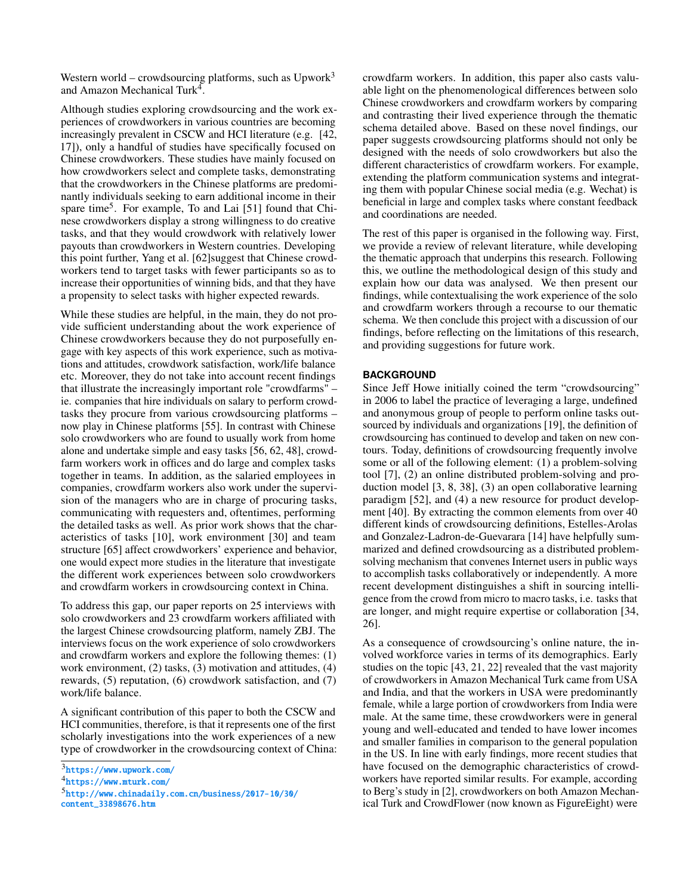Western world – crowdsourcing platforms, such as  $Upwork<sup>3</sup>$  $Upwork<sup>3</sup>$  $Upwork<sup>3</sup>$ and Amazon Mechanical Turk<sup>[4](#page-3-1)</sup>.

Although studies exploring crowdsourcing and the work experiences of crowdworkers in various countries are becoming increasingly prevalent in CSCW and HCI literature (e.g. [\[42,](#page-14-3) [17\]](#page-12-2)), only a handful of studies have specifically focused on Chinese crowdworkers. These studies have mainly focused on how crowdworkers select and complete tasks, demonstrating that the crowdworkers in the Chinese platforms are predominantly individuals seeking to earn additional income in their spare time<sup>[5](#page-3-2)</sup>. For example, To and Lai [\[51\]](#page-14-4) found that Chinese crowdworkers display a strong willingness to do creative tasks, and that they would crowdwork with relatively lower payouts than crowdworkers in Western countries. Developing this point further, Yang et al. [\[62\]](#page-14-5)suggest that Chinese crowdworkers tend to target tasks with fewer participants so as to increase their opportunities of winning bids, and that they have a propensity to select tasks with higher expected rewards.

While these studies are helpful, in the main, they do not provide sufficient understanding about the work experience of Chinese crowdworkers because they do not purposefully engage with key aspects of this work experience, such as motivations and attitudes, crowdwork satisfaction, work/life balance etc. Moreover, they do not take into account recent findings that illustrate the increasingly important role "crowdfarms" – ie. companies that hire individuals on salary to perform crowdtasks they procure from various crowdsourcing platforms – now play in Chinese platforms [\[55\]](#page-14-6). In contrast with Chinese solo crowdworkers who are found to usually work from home alone and undertake simple and easy tasks [\[56,](#page-14-7) [62,](#page-14-5) [48\]](#page-14-8), crowdfarm workers work in offices and do large and complex tasks together in teams. In addition, as the salaried employees in companies, crowdfarm workers also work under the supervision of the managers who are in charge of procuring tasks, communicating with requesters and, oftentimes, performing the detailed tasks as well. As prior work shows that the characteristics of tasks [\[10\]](#page-12-3), work environment [\[30\]](#page-13-1) and team structure [\[65\]](#page-14-9) affect crowdworkers' experience and behavior, one would expect more studies in the literature that investigate the different work experiences between solo crowdworkers and crowdfarm workers in crowdsourcing context in China.

To address this gap, our paper reports on 25 interviews with solo crowdworkers and 23 crowdfarm workers affiliated with the largest Chinese crowdsourcing platform, namely ZBJ. The interviews focus on the work experience of solo crowdworkers and crowdfarm workers and explore the following themes: (1) work environment, (2) tasks, (3) motivation and attitudes, (4) rewards, (5) reputation, (6) crowdwork satisfaction, and (7) work/life balance.

A significant contribution of this paper to both the CSCW and HCI communities, therefore, is that it represents one of the first scholarly investigations into the work experiences of a new type of crowdworker in the crowdsourcing context of China:

<span id="page-3-1"></span> $^4$ <https://www.mturk.com/>

crowdfarm workers. In addition, this paper also casts valuable light on the phenomenological differences between solo Chinese crowdworkers and crowdfarm workers by comparing and contrasting their lived experience through the thematic schema detailed above. Based on these novel findings, our paper suggests crowdsourcing platforms should not only be designed with the needs of solo crowdworkers but also the different characteristics of crowdfarm workers. For example, extending the platform communication systems and integrating them with popular Chinese social media (e.g. Wechat) is beneficial in large and complex tasks where constant feedback and coordinations are needed.

The rest of this paper is organised in the following way. First, we provide a review of relevant literature, while developing the thematic approach that underpins this research. Following this, we outline the methodological design of this study and explain how our data was analysed. We then present our findings, while contextualising the work experience of the solo and crowdfarm workers through a recourse to our thematic schema. We then conclude this project with a discussion of our findings, before reflecting on the limitations of this research, and providing suggestions for future work.

#### **BACKGROUND**

Since Jeff Howe initially coined the term "crowdsourcing" in 2006 to label the practice of leveraging a large, undefined and anonymous group of people to perform online tasks outsourced by individuals and organizations [\[19\]](#page-12-0), the definition of crowdsourcing has continued to develop and taken on new contours. Today, definitions of crowdsourcing frequently involve some or all of the following element: (1) a problem-solving tool [\[7\]](#page-12-4), (2) an online distributed problem-solving and production model [\[3,](#page-12-5) [8,](#page-12-6) [38\]](#page-13-2), (3) an open collaborative learning paradigm [\[52\]](#page-14-10), and (4) a new resource for product development [\[40\]](#page-13-3). By extracting the common elements from over 40 different kinds of crowdsourcing definitions, Estelles-Arolas and Gonzalez-Ladron-de-Guevarara [\[14\]](#page-12-7) have helpfully summarized and defined crowdsourcing as a distributed problemsolving mechanism that convenes Internet users in public ways to accomplish tasks collaboratively or independently. A more recent development distinguishes a shift in sourcing intelligence from the crowd from micro to macro tasks, i.e. tasks that are longer, and might require expertise or collaboration [\[34,](#page-13-4) [26\]](#page-13-5).

As a consequence of crowdsourcing's online nature, the involved workforce varies in terms of its demographics. Early studies on the topic [\[43,](#page-14-11) [21,](#page-12-8) [22\]](#page-13-6) revealed that the vast majority of crowdworkers in Amazon Mechanical Turk came from USA and India, and that the workers in USA were predominantly female, while a large portion of crowdworkers from India were male. At the same time, these crowdworkers were in general young and well-educated and tended to have lower incomes and smaller families in comparison to the general population in the US. In line with early findings, more recent studies that have focused on the demographic characteristics of crowdworkers have reported similar results. For example, according to Berg's study in [\[2\]](#page-12-9), crowdworkers on both Amazon Mechanical Turk and CrowdFlower (now known as FigureEight) were

<span id="page-3-0"></span><sup>3</sup> <https://www.upwork.com/>

<span id="page-3-2"></span><sup>5</sup> [http://www.chinadaily.com.cn/business/2017-10/30/](http://www.chinadaily.com.cn/business/2017-10/30/content_33898676.htm) [content\\_33898676.htm](http://www.chinadaily.com.cn/business/2017-10/30/content_33898676.htm)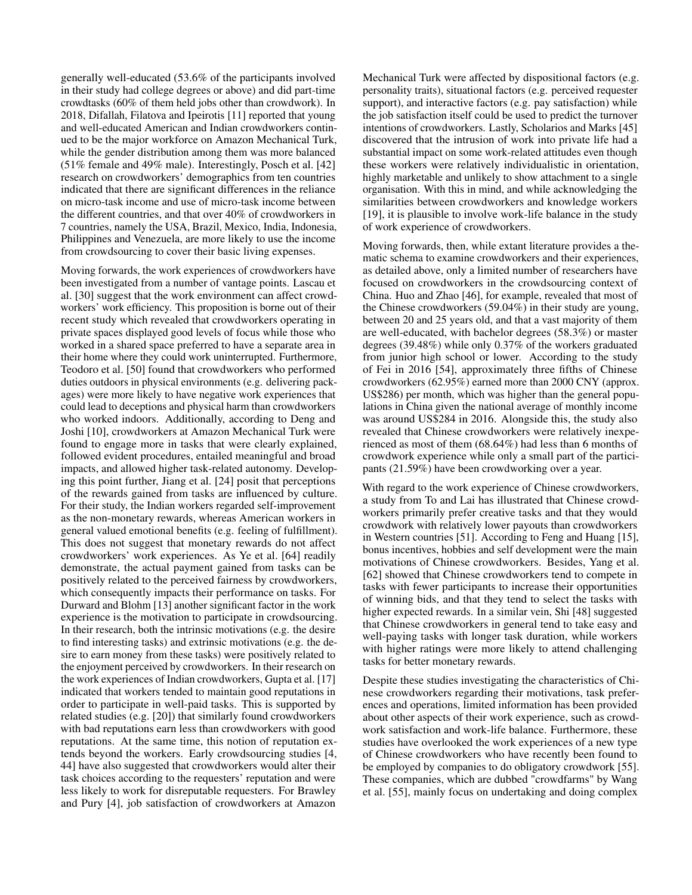generally well-educated (53.6% of the participants involved in their study had college degrees or above) and did part-time crowdtasks (60% of them held jobs other than crowdwork). In 2018, Difallah, Filatova and Ipeirotis [\[11\]](#page-12-10) reported that young and well-educated American and Indian crowdworkers continued to be the major workforce on Amazon Mechanical Turk, while the gender distribution among them was more balanced (51% female and 49% male). Interestingly, Posch et al. [\[42\]](#page-14-3) research on crowdworkers' demographics from ten countries indicated that there are significant differences in the reliance on micro-task income and use of micro-task income between the different countries, and that over 40% of crowdworkers in 7 countries, namely the USA, Brazil, Mexico, India, Indonesia, Philippines and Venezuela, are more likely to use the income from crowdsourcing to cover their basic living expenses.

Moving forwards, the work experiences of crowdworkers have been investigated from a number of vantage points. Lascau et al. [\[30\]](#page-13-1) suggest that the work environment can affect crowdworkers' work efficiency. This proposition is borne out of their recent study which revealed that crowdworkers operating in private spaces displayed good levels of focus while those who worked in a shared space preferred to have a separate area in their home where they could work uninterrupted. Furthermore, Teodoro et al. [\[50\]](#page-14-12) found that crowdworkers who performed duties outdoors in physical environments (e.g. delivering packages) were more likely to have negative work experiences that could lead to deceptions and physical harm than crowdworkers who worked indoors. Additionally, according to Deng and Joshi [\[10\]](#page-12-3), crowdworkers at Amazon Mechanical Turk were found to engage more in tasks that were clearly explained, followed evident procedures, entailed meaningful and broad impacts, and allowed higher task-related autonomy. Developing this point further, Jiang et al. [\[24\]](#page-13-7) posit that perceptions of the rewards gained from tasks are influenced by culture. For their study, the Indian workers regarded self-improvement as the non-monetary rewards, whereas American workers in general valued emotional benefits (e.g. feeling of fulfillment). This does not suggest that monetary rewards do not affect crowdworkers' work experiences. As Ye et al. [\[64\]](#page-14-13) readily demonstrate, the actual payment gained from tasks can be positively related to the perceived fairness by crowdworkers, which consequently impacts their performance on tasks. For Durward and Blohm [\[13\]](#page-12-11) another significant factor in the work experience is the motivation to participate in crowdsourcing. In their research, both the intrinsic motivations (e.g. the desire to find interesting tasks) and extrinsic motivations (e.g. the desire to earn money from these tasks) were positively related to the enjoyment perceived by crowdworkers. In their research on the work experiences of Indian crowdworkers, Gupta et al. [\[17\]](#page-12-2) indicated that workers tended to maintain good reputations in order to participate in well-paid tasks. This is supported by related studies (e.g. [\[20\]](#page-12-12)) that similarly found crowdworkers with bad reputations earn less than crowdworkers with good reputations. At the same time, this notion of reputation extends beyond the workers. Early crowdsourcing studies [\[4,](#page-12-13) [44\]](#page-14-14) have also suggested that crowdworkers would alter their task choices according to the requesters' reputation and were less likely to work for disreputable requesters. For Brawley and Pury [\[4\]](#page-12-13), job satisfaction of crowdworkers at Amazon

Mechanical Turk were affected by dispositional factors (e.g. personality traits), situational factors (e.g. perceived requester support), and interactive factors (e.g. pay satisfaction) while the job satisfaction itself could be used to predict the turnover intentions of crowdworkers. Lastly, Scholarios and Marks [\[45\]](#page-14-15) discovered that the intrusion of work into private life had a substantial impact on some work-related attitudes even though these workers were relatively individualistic in orientation, highly marketable and unlikely to show attachment to a single organisation. With this in mind, and while acknowledging the similarities between crowdworkers and knowledge workers [19], it is plausible to involve work-life balance in the study of work experience of crowdworkers.

Moving forwards, then, while extant literature provides a thematic schema to examine crowdworkers and their experiences, as detailed above, only a limited number of researchers have focused on crowdworkers in the crowdsourcing context of China. Huo and Zhao [\[46\]](#page-14-16), for example, revealed that most of the Chinese crowdworkers (59.04%) in their study are young, between 20 and 25 years old, and that a vast majority of them are well-educated, with bachelor degrees (58.3%) or master degrees (39.48%) while only 0.37% of the workers graduated from junior high school or lower. According to the study of Fei in 2016 [\[54\]](#page-14-17), approximately three fifths of Chinese crowdworkers (62.95%) earned more than 2000 CNY (approx. US\$286) per month, which was higher than the general populations in China given the national average of monthly income was around US\$284 in 2016. Alongside this, the study also revealed that Chinese crowdworkers were relatively inexperienced as most of them (68.64%) had less than 6 months of crowdwork experience while only a small part of the participants (21.59%) have been crowdworking over a year.

With regard to the work experience of Chinese crowdworkers, a study from To and Lai has illustrated that Chinese crowdworkers primarily prefer creative tasks and that they would crowdwork with relatively lower payouts than crowdworkers in Western countries [\[51\]](#page-14-4). According to Feng and Huang [\[15\]](#page-12-14), bonus incentives, hobbies and self development were the main motivations of Chinese crowdworkers. Besides, Yang et al. [\[62\]](#page-14-5) showed that Chinese crowdworkers tend to compete in tasks with fewer participants to increase their opportunities of winning bids, and that they tend to select the tasks with higher expected rewards. In a similar vein, Shi [\[48\]](#page-14-8) suggested that Chinese crowdworkers in general tend to take easy and well-paying tasks with longer task duration, while workers with higher ratings were more likely to attend challenging tasks for better monetary rewards.

Despite these studies investigating the characteristics of Chinese crowdworkers regarding their motivations, task preferences and operations, limited information has been provided about other aspects of their work experience, such as crowdwork satisfaction and work-life balance. Furthermore, these studies have overlooked the work experiences of a new type of Chinese crowdworkers who have recently been found to be employed by companies to do obligatory crowdwork [\[55\]](#page-14-6). These companies, which are dubbed "crowdfarms" by Wang et al. [\[55\]](#page-14-6), mainly focus on undertaking and doing complex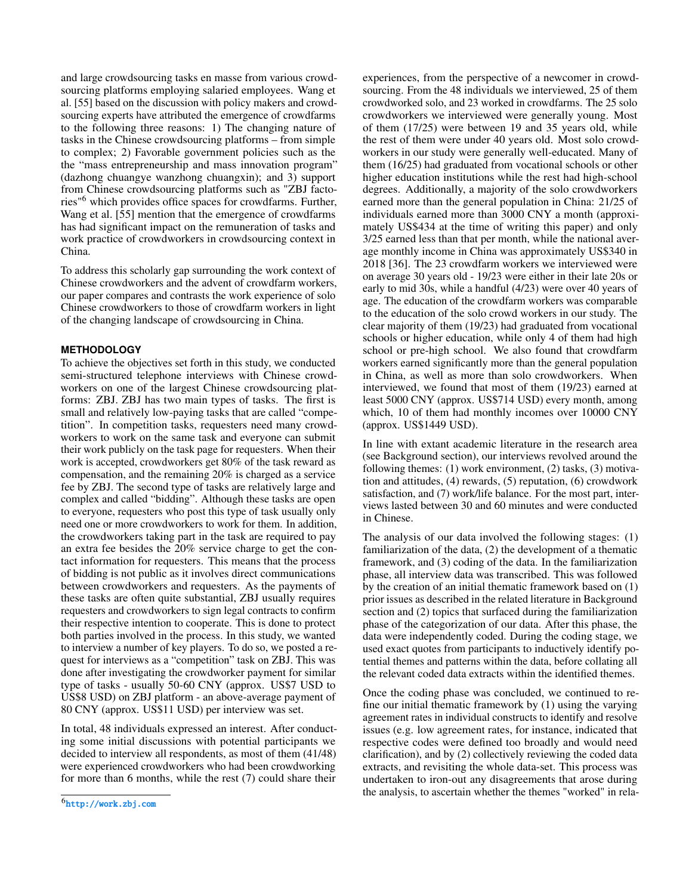and large crowdsourcing tasks en masse from various crowdsourcing platforms employing salaried employees. Wang et al. [\[55\]](#page-14-6) based on the discussion with policy makers and crowdsourcing experts have attributed the emergence of crowdfarms to the following three reasons: 1) The changing nature of tasks in the Chinese crowdsourcing platforms – from simple to complex; 2) Favorable government policies such as the the "mass entrepreneurship and mass innovation program" (dazhong chuangye wanzhong chuangxin); and 3) support from Chinese crowdsourcing platforms such as "ZBJ factories"[6](#page-5-0) which provides office spaces for crowdfarms. Further, Wang et al. [\[55\]](#page-14-6) mention that the emergence of crowdfarms has had significant impact on the remuneration of tasks and work practice of crowdworkers in crowdsourcing context in China.

To address this scholarly gap surrounding the work context of Chinese crowdworkers and the advent of crowdfarm workers, our paper compares and contrasts the work experience of solo Chinese crowdworkers to those of crowdfarm workers in light of the changing landscape of crowdsourcing in China.

#### **METHODOLOGY**

To achieve the objectives set forth in this study, we conducted semi-structured telephone interviews with Chinese crowdworkers on one of the largest Chinese crowdsourcing platforms: ZBJ. ZBJ has two main types of tasks. The first is small and relatively low-paying tasks that are called "competition". In competition tasks, requesters need many crowdworkers to work on the same task and everyone can submit their work publicly on the task page for requesters. When their work is accepted, crowdworkers get 80% of the task reward as compensation, and the remaining 20% is charged as a service fee by ZBJ. The second type of tasks are relatively large and complex and called "bidding". Although these tasks are open to everyone, requesters who post this type of task usually only need one or more crowdworkers to work for them. In addition, the crowdworkers taking part in the task are required to pay an extra fee besides the 20% service charge to get the contact information for requesters. This means that the process of bidding is not public as it involves direct communications between crowdworkers and requesters. As the payments of these tasks are often quite substantial, ZBJ usually requires requesters and crowdworkers to sign legal contracts to confirm their respective intention to cooperate. This is done to protect both parties involved in the process. In this study, we wanted to interview a number of key players. To do so, we posted a request for interviews as a "competition" task on ZBJ. This was done after investigating the crowdworker payment for similar type of tasks - usually 50-60 CNY (approx. US\$7 USD to US\$8 USD) on ZBJ platform - an above-average payment of 80 CNY (approx. US\$11 USD) per interview was set.

In total, 48 individuals expressed an interest. After conducting some initial discussions with potential participants we decided to interview all respondents, as most of them (41/48) were experienced crowdworkers who had been crowdworking for more than 6 months, while the rest (7) could share their

experiences, from the perspective of a newcomer in crowdsourcing. From the 48 individuals we interviewed, 25 of them crowdworked solo, and 23 worked in crowdfarms. The 25 solo crowdworkers we interviewed were generally young. Most of them (17/25) were between 19 and 35 years old, while the rest of them were under 40 years old. Most solo crowdworkers in our study were generally well-educated. Many of them (16/25) had graduated from vocational schools or other higher education institutions while the rest had high-school degrees. Additionally, a majority of the solo crowdworkers earned more than the general population in China: 21/25 of individuals earned more than 3000 CNY a month (approximately US\$434 at the time of writing this paper) and only 3/25 earned less than that per month, while the national average monthly income in China was approximately US\$340 in 2018 [\[36\]](#page-13-8). The 23 crowdfarm workers we interviewed were on average 30 years old - 19/23 were either in their late 20s or early to mid 30s, while a handful (4/23) were over 40 years of age. The education of the crowdfarm workers was comparable to the education of the solo crowd workers in our study. The clear majority of them (19/23) had graduated from vocational schools or higher education, while only 4 of them had high school or pre-high school. We also found that crowdfarm workers earned significantly more than the general population in China, as well as more than solo crowdworkers. When interviewed, we found that most of them (19/23) earned at least 5000 CNY (approx. US\$714 USD) every month, among which, 10 of them had monthly incomes over 10000 CNY (approx. US\$1449 USD).

In line with extant academic literature in the research area (see Background section), our interviews revolved around the following themes: (1) work environment, (2) tasks, (3) motivation and attitudes, (4) rewards, (5) reputation, (6) crowdwork satisfaction, and (7) work/life balance. For the most part, interviews lasted between 30 and 60 minutes and were conducted in Chinese.

The analysis of our data involved the following stages: (1) familiarization of the data, (2) the development of a thematic framework, and (3) coding of the data. In the familiarization phase, all interview data was transcribed. This was followed by the creation of an initial thematic framework based on (1) prior issues as described in the related literature in Background section and (2) topics that surfaced during the familiarization phase of the categorization of our data. After this phase, the data were independently coded. During the coding stage, we used exact quotes from participants to inductively identify potential themes and patterns within the data, before collating all the relevant coded data extracts within the identified themes.

Once the coding phase was concluded, we continued to refine our initial thematic framework by (1) using the varying agreement rates in individual constructs to identify and resolve issues (e.g. low agreement rates, for instance, indicated that respective codes were defined too broadly and would need clarification), and by (2) collectively reviewing the coded data extracts, and revisiting the whole data-set. This process was undertaken to iron-out any disagreements that arose during the analysis, to ascertain whether the themes "worked" in rela-

<span id="page-5-0"></span> $^6$ <http://work.zbj.com>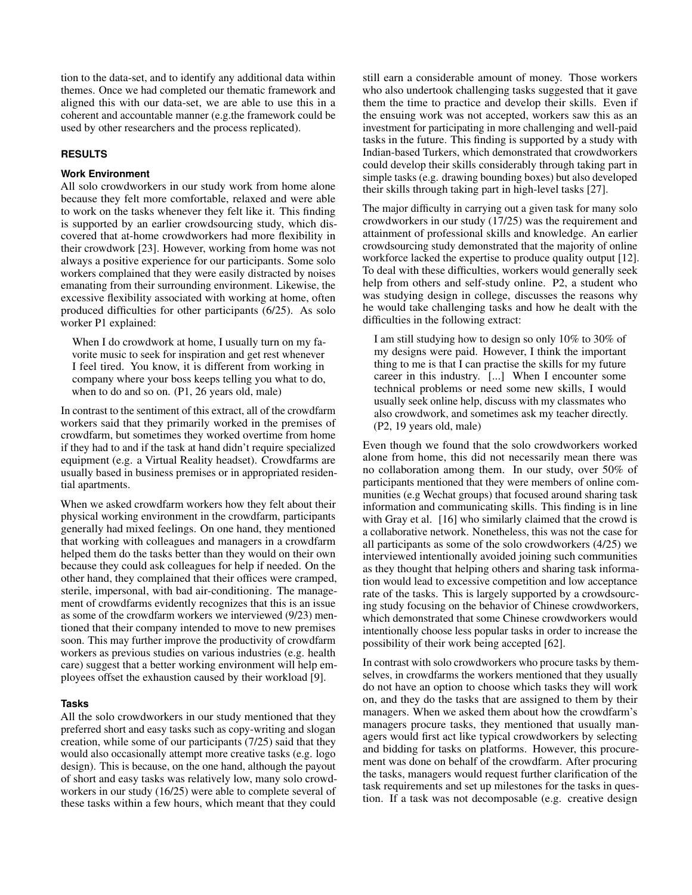tion to the data-set, and to identify any additional data within themes. Once we had completed our thematic framework and aligned this with our data-set, we are able to use this in a coherent and accountable manner (e.g.the framework could be used by other researchers and the process replicated).

#### **RESULTS**

#### **Work Environment**

All solo crowdworkers in our study work from home alone because they felt more comfortable, relaxed and were able to work on the tasks whenever they felt like it. This finding is supported by an earlier crowdsourcing study, which discovered that at-home crowdworkers had more flexibility in their crowdwork [\[23\]](#page-13-9). However, working from home was not always a positive experience for our participants. Some solo workers complained that they were easily distracted by noises emanating from their surrounding environment. Likewise, the excessive flexibility associated with working at home, often produced difficulties for other participants (6/25). As solo worker P1 explained:

When I do crowdwork at home, I usually turn on my favorite music to seek for inspiration and get rest whenever I feel tired. You know, it is different from working in company where your boss keeps telling you what to do, when to do and so on. (P1, 26 years old, male)

In contrast to the sentiment of this extract, all of the crowdfarm workers said that they primarily worked in the premises of crowdfarm, but sometimes they worked overtime from home if they had to and if the task at hand didn't require specialized equipment (e.g. a Virtual Reality headset). Crowdfarms are usually based in business premises or in appropriated residential apartments.

When we asked crowdfarm workers how they felt about their physical working environment in the crowdfarm, participants generally had mixed feelings. On one hand, they mentioned that working with colleagues and managers in a crowdfarm helped them do the tasks better than they would on their own because they could ask colleagues for help if needed. On the other hand, they complained that their offices were cramped, sterile, impersonal, with bad air-conditioning. The management of crowdfarms evidently recognizes that this is an issue as some of the crowdfarm workers we interviewed (9/23) mentioned that their company intended to move to new premises soon. This may further improve the productivity of crowdfarm workers as previous studies on various industries (e.g. health care) suggest that a better working environment will help employees offset the exhaustion caused by their workload [\[9\]](#page-12-15).

#### **Tasks**

All the solo crowdworkers in our study mentioned that they preferred short and easy tasks such as copy-writing and slogan creation, while some of our participants (7/25) said that they would also occasionally attempt more creative tasks (e.g. logo design). This is because, on the one hand, although the payout of short and easy tasks was relatively low, many solo crowdworkers in our study (16/25) were able to complete several of these tasks within a few hours, which meant that they could

still earn a considerable amount of money. Those workers who also undertook challenging tasks suggested that it gave them the time to practice and develop their skills. Even if the ensuing work was not accepted, workers saw this as an investment for participating in more challenging and well-paid tasks in the future. This finding is supported by a study with Indian-based Turkers, which demonstrated that crowdworkers could develop their skills considerably through taking part in simple tasks (e.g. drawing bounding boxes) but also developed their skills through taking part in high-level tasks [\[27\]](#page-13-10).

The major difficulty in carrying out a given task for many solo crowdworkers in our study (17/25) was the requirement and attainment of professional skills and knowledge. An earlier crowdsourcing study demonstrated that the majority of online workforce lacked the expertise to produce quality output [\[12\]](#page-12-16). To deal with these difficulties, workers would generally seek help from others and self-study online. P2, a student who was studying design in college, discusses the reasons why he would take challenging tasks and how he dealt with the difficulties in the following extract:

I am still studying how to design so only 10% to 30% of my designs were paid. However, I think the important thing to me is that I can practise the skills for my future career in this industry. [...] When I encounter some technical problems or need some new skills, I would usually seek online help, discuss with my classmates who also crowdwork, and sometimes ask my teacher directly. (P2, 19 years old, male)

Even though we found that the solo crowdworkers worked alone from home, this did not necessarily mean there was no collaboration among them. In our study, over 50% of participants mentioned that they were members of online communities (e.g Wechat groups) that focused around sharing task information and communicating skills. This finding is in line with Gray et al. [\[16\]](#page-12-17) who similarly claimed that the crowd is a collaborative network. Nonetheless, this was not the case for all participants as some of the solo crowdworkers (4/25) we interviewed intentionally avoided joining such communities as they thought that helping others and sharing task information would lead to excessive competition and low acceptance rate of the tasks. This is largely supported by a crowdsourcing study focusing on the behavior of Chinese crowdworkers, which demonstrated that some Chinese crowdworkers would intentionally choose less popular tasks in order to increase the possibility of their work being accepted [\[62\]](#page-14-5).

In contrast with solo crowdworkers who procure tasks by themselves, in crowdfarms the workers mentioned that they usually do not have an option to choose which tasks they will work on, and they do the tasks that are assigned to them by their managers. When we asked them about how the crowdfarm's managers procure tasks, they mentioned that usually managers would first act like typical crowdworkers by selecting and bidding for tasks on platforms. However, this procurement was done on behalf of the crowdfarm. After procuring the tasks, managers would request further clarification of the task requirements and set up milestones for the tasks in question. If a task was not decomposable (e.g. creative design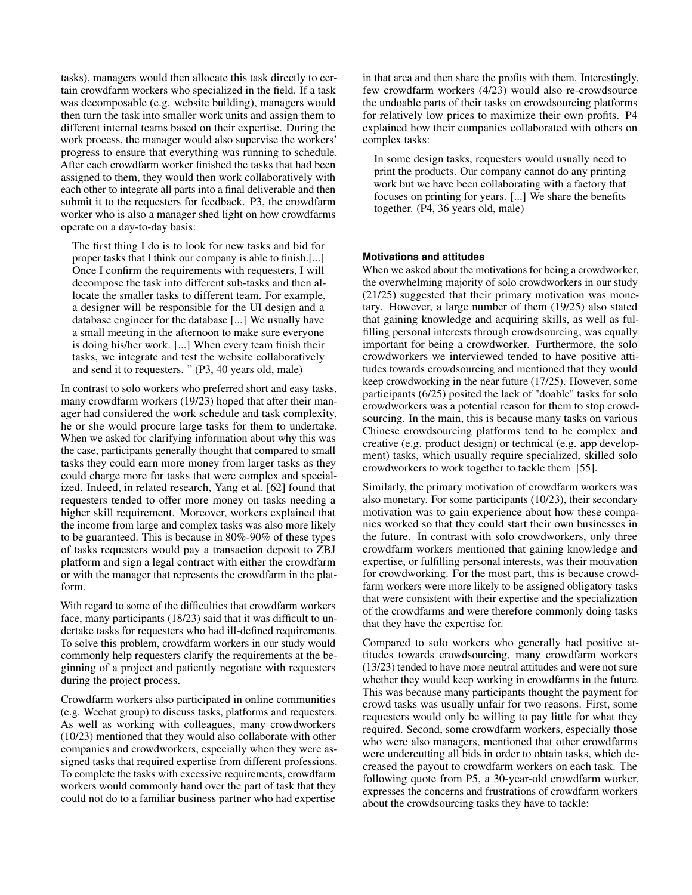tasks), managers would then allocate this task directly to certain crowdfarm workers who specialized in the field. If a task was decomposable (e.g. website building), managers would then turn the task into smaller work units and assign them to different internal teams based on their expertise. During the work process, the manager would also supervise the workers' progress to ensure that everything was running to schedule. After each crowdfarm worker finished the tasks that had been assigned to them, they would then work collaboratively with each other to integrate all parts into a final deliverable and then submit it to the requesters for feedback. P3, the crowdfarm worker who is also a manager shed light on how crowdfarms operate on a day-to-day basis:

The first thing I do is to look for new tasks and bid for proper tasks that I think our company is able to finish.[...] Once I confirm the requirements with requesters, I will decompose the task into different sub-tasks and then allocate the smaller tasks to different team. For example, a designer will be responsible for the UI design and a database engineer for the database [...] We usually have a small meeting in the afternoon to make sure everyone is doing his/her work. [...] When every team finish their tasks, we integrate and test the website collaboratively and send it to requesters. " (P3, 40 years old, male)

In contrast to solo workers who preferred short and easy tasks, many crowdfarm workers (19/23) hoped that after their manager had considered the work schedule and task complexity, he or she would procure large tasks for them to undertake. When we asked for clarifying information about why this was the case, participants generally thought that compared to small tasks they could earn more money from larger tasks as they could charge more for tasks that were complex and specialized. Indeed, in related research, Yang et al. [\[62\]](#page-14-5) found that requesters tended to offer more money on tasks needing a higher skill requirement. Moreover, workers explained that the income from large and complex tasks was also more likely to be guaranteed. This is because in 80%-90% of these types of tasks requesters would pay a transaction deposit to ZBJ platform and sign a legal contract with either the crowdfarm or with the manager that represents the crowdfarm in the platform.

With regard to some of the difficulties that crowdfarm workers face, many participants (18/23) said that it was difficult to undertake tasks for requesters who had ill-defined requirements. To solve this problem, crowdfarm workers in our study would commonly help requesters clarify the requirements at the beginning of a project and patiently negotiate with requesters during the project process.

Crowdfarm workers also participated in online communities (e.g. Wechat group) to discuss tasks, platforms and requesters. As well as working with colleagues, many crowdworkers (10/23) mentioned that they would also collaborate with other companies and crowdworkers, especially when they were assigned tasks that required expertise from different professions. To complete the tasks with excessive requirements, crowdfarm workers would commonly hand over the part of task that they could not do to a familiar business partner who had expertise

in that area and then share the profits with them. Interestingly, few crowdfarm workers (4/23) would also re-crowdsource the undoable parts of their tasks on crowdsourcing platforms for relatively low prices to maximize their own profits. P4 explained how their companies collaborated with others on complex tasks:

In some design tasks, requesters would usually need to print the products. Our company cannot do any printing work but we have been collaborating with a factory that focuses on printing for years. [...] We share the benefits together. (P4, 36 years old, male)

#### **Motivations and attitudes**

When we asked about the motivations for being a crowdworker, the overwhelming majority of solo crowdworkers in our study (21/25) suggested that their primary motivation was monetary. However, a large number of them (19/25) also stated that gaining knowledge and acquiring skills, as well as fulfilling personal interests through crowdsourcing, was equally important for being a crowdworker. Furthermore, the solo crowdworkers we interviewed tended to have positive attitudes towards crowdsourcing and mentioned that they would keep crowdworking in the near future (17/25). However, some participants (6/25) posited the lack of "doable" tasks for solo crowdworkers was a potential reason for them to stop crowdsourcing. In the main, this is because many tasks on various Chinese crowdsourcing platforms tend to be complex and creative (e.g. product design) or technical (e.g. app development) tasks, which usually require specialized, skilled solo crowdworkers to work together to tackle them [\[55\]](#page-14-6).

Similarly, the primary motivation of crowdfarm workers was also monetary. For some participants (10/23), their secondary motivation was to gain experience about how these companies worked so that they could start their own businesses in the future. In contrast with solo crowdworkers, only three crowdfarm workers mentioned that gaining knowledge and expertise, or fulfilling personal interests, was their motivation for crowdworking. For the most part, this is because crowdfarm workers were more likely to be assigned obligatory tasks that were consistent with their expertise and the specialization of the crowdfarms and were therefore commonly doing tasks that they have the expertise for.

Compared to solo workers who generally had positive attitudes towards crowdsourcing, many crowdfarm workers (13/23) tended to have more neutral attitudes and were not sure whether they would keep working in crowdfarms in the future. This was because many participants thought the payment for crowd tasks was usually unfair for two reasons. First, some requesters would only be willing to pay little for what they required. Second, some crowdfarm workers, especially those who were also managers, mentioned that other crowdfarms were undercutting all bids in order to obtain tasks, which decreased the payout to crowdfarm workers on each task. The following quote from P5, a 30-year-old crowdfarm worker, expresses the concerns and frustrations of crowdfarm workers about the crowdsourcing tasks they have to tackle: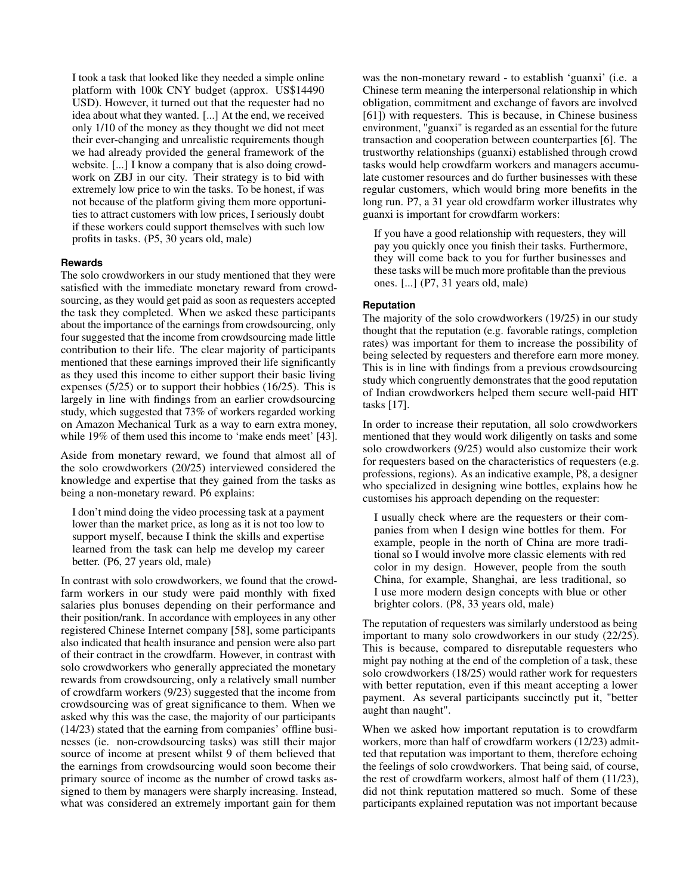I took a task that looked like they needed a simple online platform with 100k CNY budget (approx. US\$14490 USD). However, it turned out that the requester had no idea about what they wanted. [...] At the end, we received only 1/10 of the money as they thought we did not meet their ever-changing and unrealistic requirements though we had already provided the general framework of the website. [...] I know a company that is also doing crowdwork on ZBJ in our city. Their strategy is to bid with extremely low price to win the tasks. To be honest, if was not because of the platform giving them more opportunities to attract customers with low prices, I seriously doubt if these workers could support themselves with such low profits in tasks. (P5, 30 years old, male)

#### **Rewards**

The solo crowdworkers in our study mentioned that they were satisfied with the immediate monetary reward from crowdsourcing, as they would get paid as soon as requesters accepted the task they completed. When we asked these participants about the importance of the earnings from crowdsourcing, only four suggested that the income from crowdsourcing made little contribution to their life. The clear majority of participants mentioned that these earnings improved their life significantly as they used this income to either support their basic living expenses (5/25) or to support their hobbies (16/25). This is largely in line with findings from an earlier crowdsourcing study, which suggested that 73% of workers regarded working on Amazon Mechanical Turk as a way to earn extra money, while 19% of them used this income to 'make ends meet' [\[43\]](#page-14-11).

Aside from monetary reward, we found that almost all of the solo crowdworkers (20/25) interviewed considered the knowledge and expertise that they gained from the tasks as being a non-monetary reward. P6 explains:

I don't mind doing the video processing task at a payment lower than the market price, as long as it is not too low to support myself, because I think the skills and expertise learned from the task can help me develop my career better. (P6, 27 years old, male)

In contrast with solo crowdworkers, we found that the crowdfarm workers in our study were paid monthly with fixed salaries plus bonuses depending on their performance and their position/rank. In accordance with employees in any other registered Chinese Internet company [\[58\]](#page-14-18), some participants also indicated that health insurance and pension were also part of their contract in the crowdfarm. However, in contrast with solo crowdworkers who generally appreciated the monetary rewards from crowdsourcing, only a relatively small number of crowdfarm workers (9/23) suggested that the income from crowdsourcing was of great significance to them. When we asked why this was the case, the majority of our participants (14/23) stated that the earning from companies' offline businesses (ie. non-crowdsourcing tasks) was still their major source of income at present whilst 9 of them believed that the earnings from crowdsourcing would soon become their primary source of income as the number of crowd tasks assigned to them by managers were sharply increasing. Instead, what was considered an extremely important gain for them

was the non-monetary reward - to establish 'guanxi' (i.e. a Chinese term meaning the interpersonal relationship in which obligation, commitment and exchange of favors are involved [\[61\]](#page-14-19)) with requesters. This is because, in Chinese business environment, "guanxi" is regarded as an essential for the future transaction and cooperation between counterparties [\[6\]](#page-12-18). The trustworthy relationships (guanxi) established through crowd tasks would help crowdfarm workers and managers accumulate customer resources and do further businesses with these regular customers, which would bring more benefits in the long run. P7, a 31 year old crowdfarm worker illustrates why guanxi is important for crowdfarm workers:

If you have a good relationship with requesters, they will pay you quickly once you finish their tasks. Furthermore, they will come back to you for further businesses and these tasks will be much more profitable than the previous ones. [...] (P7, 31 years old, male)

#### **Reputation**

The majority of the solo crowdworkers (19/25) in our study thought that the reputation (e.g. favorable ratings, completion rates) was important for them to increase the possibility of being selected by requesters and therefore earn more money. This is in line with findings from a previous crowdsourcing study which congruently demonstrates that the good reputation of Indian crowdworkers helped them secure well-paid HIT tasks [\[17\]](#page-12-2).

In order to increase their reputation, all solo crowdworkers mentioned that they would work diligently on tasks and some solo crowdworkers (9/25) would also customize their work for requesters based on the characteristics of requesters (e.g. professions, regions). As an indicative example, P8, a designer who specialized in designing wine bottles, explains how he customises his approach depending on the requester:

I usually check where are the requesters or their companies from when I design wine bottles for them. For example, people in the north of China are more traditional so I would involve more classic elements with red color in my design. However, people from the south China, for example, Shanghai, are less traditional, so I use more modern design concepts with blue or other brighter colors. (P8, 33 years old, male)

The reputation of requesters was similarly understood as being important to many solo crowdworkers in our study (22/25). This is because, compared to disreputable requesters who might pay nothing at the end of the completion of a task, these solo crowdworkers (18/25) would rather work for requesters with better reputation, even if this meant accepting a lower payment. As several participants succinctly put it, "better aught than naught".

When we asked how important reputation is to crowdfarm workers, more than half of crowdfarm workers (12/23) admitted that reputation was important to them, therefore echoing the feelings of solo crowdworkers. That being said, of course, the rest of crowdfarm workers, almost half of them (11/23), did not think reputation mattered so much. Some of these participants explained reputation was not important because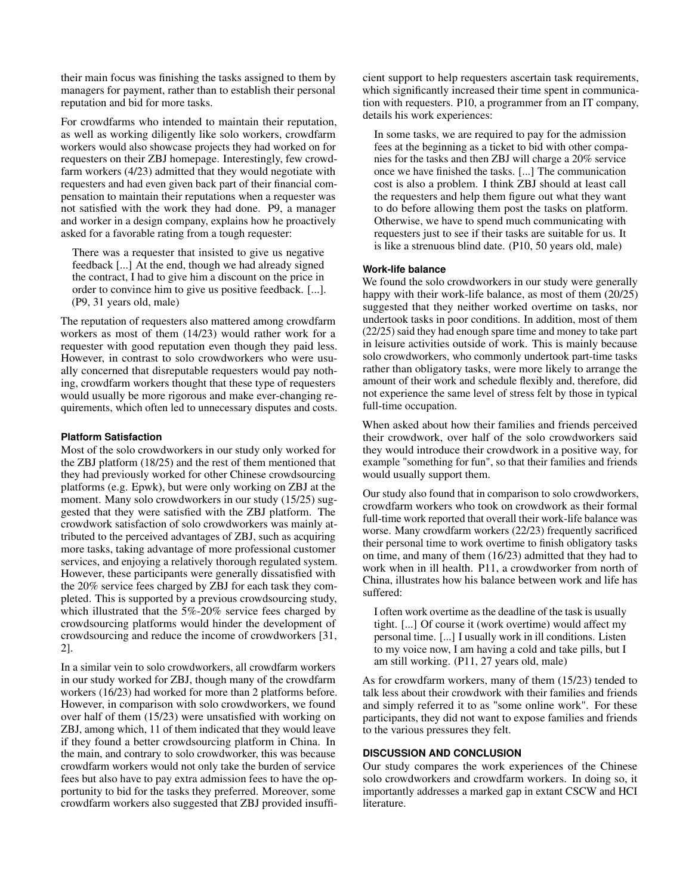their main focus was finishing the tasks assigned to them by managers for payment, rather than to establish their personal reputation and bid for more tasks.

For crowdfarms who intended to maintain their reputation, as well as working diligently like solo workers, crowdfarm workers would also showcase projects they had worked on for requesters on their ZBJ homepage. Interestingly, few crowdfarm workers (4/23) admitted that they would negotiate with requesters and had even given back part of their financial compensation to maintain their reputations when a requester was not satisfied with the work they had done. P9, a manager and worker in a design company, explains how he proactively asked for a favorable rating from a tough requester:

There was a requester that insisted to give us negative feedback [...] At the end, though we had already signed the contract, I had to give him a discount on the price in order to convince him to give us positive feedback. [...]. (P9, 31 years old, male)

The reputation of requesters also mattered among crowdfarm workers as most of them (14/23) would rather work for a requester with good reputation even though they paid less. However, in contrast to solo crowdworkers who were usually concerned that disreputable requesters would pay nothing, crowdfarm workers thought that these type of requesters would usually be more rigorous and make ever-changing requirements, which often led to unnecessary disputes and costs.

#### **Platform Satisfaction**

Most of the solo crowdworkers in our study only worked for the ZBJ platform (18/25) and the rest of them mentioned that they had previously worked for other Chinese crowdsourcing platforms (e.g. Epwk), but were only working on ZBJ at the moment. Many solo crowdworkers in our study (15/25) suggested that they were satisfied with the ZBJ platform. The crowdwork satisfaction of solo crowdworkers was mainly attributed to the perceived advantages of ZBJ, such as acquiring more tasks, taking advantage of more professional customer services, and enjoying a relatively thorough regulated system. However, these participants were generally dissatisfied with the 20% service fees charged by ZBJ for each task they completed. This is supported by a previous crowdsourcing study, which illustrated that the 5%-20% service fees charged by crowdsourcing platforms would hinder the development of crowdsourcing and reduce the income of crowdworkers [\[31,](#page-13-11) [2\]](#page-12-9).

In a similar vein to solo crowdworkers, all crowdfarm workers in our study worked for ZBJ, though many of the crowdfarm workers (16/23) had worked for more than 2 platforms before. However, in comparison with solo crowdworkers, we found over half of them (15/23) were unsatisfied with working on ZBJ, among which, 11 of them indicated that they would leave if they found a better crowdsourcing platform in China. In the main, and contrary to solo crowdworker, this was because crowdfarm workers would not only take the burden of service fees but also have to pay extra admission fees to have the opportunity to bid for the tasks they preferred. Moreover, some crowdfarm workers also suggested that ZBJ provided insufficient support to help requesters ascertain task requirements, which significantly increased their time spent in communication with requesters. P10, a programmer from an IT company, details his work experiences:

In some tasks, we are required to pay for the admission fees at the beginning as a ticket to bid with other companies for the tasks and then ZBJ will charge a 20% service once we have finished the tasks. [...] The communication cost is also a problem. I think ZBJ should at least call the requesters and help them figure out what they want to do before allowing them post the tasks on platform. Otherwise, we have to spend much communicating with requesters just to see if their tasks are suitable for us. It is like a strenuous blind date. (P10, 50 years old, male)

#### **Work-life balance**

We found the solo crowdworkers in our study were generally happy with their work-life balance, as most of them (20/25) suggested that they neither worked overtime on tasks, nor undertook tasks in poor conditions. In addition, most of them (22/25) said they had enough spare time and money to take part in leisure activities outside of work. This is mainly because solo crowdworkers, who commonly undertook part-time tasks rather than obligatory tasks, were more likely to arrange the amount of their work and schedule flexibly and, therefore, did not experience the same level of stress felt by those in typical full-time occupation.

When asked about how their families and friends perceived their crowdwork, over half of the solo crowdworkers said they would introduce their crowdwork in a positive way, for example "something for fun", so that their families and friends would usually support them.

Our study also found that in comparison to solo crowdworkers, crowdfarm workers who took on crowdwork as their formal full-time work reported that overall their work-life balance was worse. Many crowdfarm workers (22/23) frequently sacrificed their personal time to work overtime to finish obligatory tasks on time, and many of them (16/23) admitted that they had to work when in ill health. P11, a crowdworker from north of China, illustrates how his balance between work and life has suffered:

I often work overtime as the deadline of the task is usually tight. [...] Of course it (work overtime) would affect my personal time. [...] I usually work in ill conditions. Listen to my voice now, I am having a cold and take pills, but I am still working. (P11, 27 years old, male)

As for crowdfarm workers, many of them (15/23) tended to talk less about their crowdwork with their families and friends and simply referred it to as "some online work". For these participants, they did not want to expose families and friends to the various pressures they felt.

#### **DISCUSSION AND CONCLUSION**

Our study compares the work experiences of the Chinese solo crowdworkers and crowdfarm workers. In doing so, it importantly addresses a marked gap in extant CSCW and HCI literature.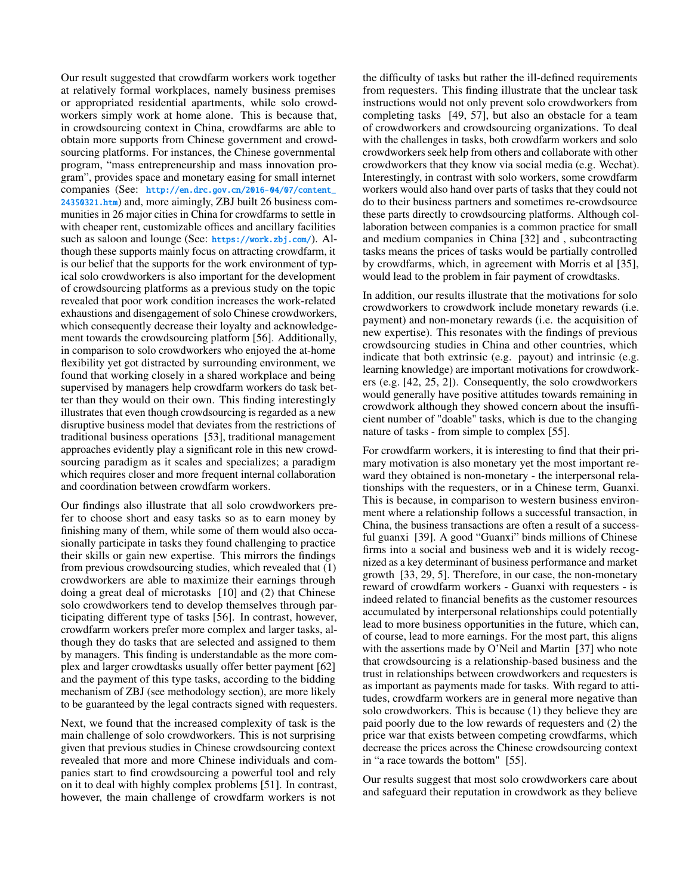Our result suggested that crowdfarm workers work together at relatively formal workplaces, namely business premises or appropriated residential apartments, while solo crowdworkers simply work at home alone. This is because that, in crowdsourcing context in China, crowdfarms are able to obtain more supports from Chinese government and crowdsourcing platforms. For instances, the Chinese governmental program, "mass entrepreneurship and mass innovation program", provides space and monetary easing for small internet companies (See: [http://en.drc.gov.cn/2016-04/07/content\\_](http://en.drc.gov.cn/2016-04/07/content_24350321.htm) [24350321.htm](http://en.drc.gov.cn/2016-04/07/content_24350321.htm)) and, more aimingly, ZBJ built 26 business communities in 26 major cities in China for crowdfarms to settle in with cheaper rent, customizable offices and ancillary facilities such as saloon and lounge (See: <https://work.zbj.com/>). Although these supports mainly focus on attracting crowdfarm, it is our belief that the supports for the work environment of typical solo crowdworkers is also important for the development of crowdsourcing platforms as a previous study on the topic revealed that poor work condition increases the work-related exhaustions and disengagement of solo Chinese crowdworkers, which consequently decrease their loyalty and acknowledgement towards the crowdsourcing platform [\[56\]](#page-14-7). Additionally, in comparison to solo crowdworkers who enjoyed the at-home flexibility yet got distracted by surrounding environment, we found that working closely in a shared workplace and being supervised by managers help crowdfarm workers do task better than they would on their own. This finding interestingly illustrates that even though crowdsourcing is regarded as a new disruptive business model that deviates from the restrictions of traditional business operations [\[53\]](#page-14-20), traditional management approaches evidently play a significant role in this new crowdsourcing paradigm as it scales and specializes; a paradigm which requires closer and more frequent internal collaboration and coordination between crowdfarm workers.

Our findings also illustrate that all solo crowdworkers prefer to choose short and easy tasks so as to earn money by finishing many of them, while some of them would also occasionally participate in tasks they found challenging to practice their skills or gain new expertise. This mirrors the findings from previous crowdsourcing studies, which revealed that (1) crowdworkers are able to maximize their earnings through doing a great deal of microtasks [\[10\]](#page-12-3) and (2) that Chinese solo crowdworkers tend to develop themselves through participating different type of tasks [\[56\]](#page-14-7). In contrast, however, crowdfarm workers prefer more complex and larger tasks, although they do tasks that are selected and assigned to them by managers. This finding is understandable as the more complex and larger crowdtasks usually offer better payment [\[62\]](#page-14-5) and the payment of this type tasks, according to the bidding mechanism of ZBJ (see methodology section), are more likely to be guaranteed by the legal contracts signed with requesters.

Next, we found that the increased complexity of task is the main challenge of solo crowdworkers. This is not surprising given that previous studies in Chinese crowdsourcing context revealed that more and more Chinese individuals and companies start to find crowdsourcing a powerful tool and rely on it to deal with highly complex problems [\[51\]](#page-14-4). In contrast, however, the main challenge of crowdfarm workers is not

the difficulty of tasks but rather the ill-defined requirements from requesters. This finding illustrate that the unclear task instructions would not only prevent solo crowdworkers from completing tasks [\[49,](#page-14-21) [57\]](#page-14-22), but also an obstacle for a team of crowdworkers and crowdsourcing organizations. To deal with the challenges in tasks, both crowdfarm workers and solo crowdworkers seek help from others and collaborate with other crowdworkers that they know via social media (e.g. Wechat). Interestingly, in contrast with solo workers, some crowdfarm workers would also hand over parts of tasks that they could not do to their business partners and sometimes re-crowdsource these parts directly to crowdsourcing platforms. Although collaboration between companies is a common practice for small and medium companies in China [\[32\]](#page-13-12) and , subcontracting tasks means the prices of tasks would be partially controlled by crowdfarms, which, in agreement with Morris et al [\[35\]](#page-13-13), would lead to the problem in fair payment of crowdtasks.

In addition, our results illustrate that the motivations for solo crowdworkers to crowdwork include monetary rewards (i.e. payment) and non-monetary rewards (i.e. the acquisition of new expertise). This resonates with the findings of previous crowdsourcing studies in China and other countries, which indicate that both extrinsic (e.g. payout) and intrinsic (e.g. learning knowledge) are important motivations for crowdworkers (e.g. [\[42,](#page-14-3) [25,](#page-13-14) [2\]](#page-12-9)). Consequently, the solo crowdworkers would generally have positive attitudes towards remaining in crowdwork although they showed concern about the insufficient number of "doable" tasks, which is due to the changing nature of tasks - from simple to complex [\[55\]](#page-14-6).

For crowdfarm workers, it is interesting to find that their primary motivation is also monetary yet the most important reward they obtained is non-monetary - the interpersonal relationships with the requesters, or in a Chinese term, Guanxi. This is because, in comparison to western business environment where a relationship follows a successful transaction, in China, the business transactions are often a result of a successful guanxi [\[39\]](#page-13-15). A good "Guanxi" binds millions of Chinese firms into a social and business web and it is widely recognized as a key determinant of business performance and market growth [\[33,](#page-13-16) [29,](#page-13-17) [5\]](#page-12-19). Therefore, in our case, the non-monetary reward of crowdfarm workers - Guanxi with requesters - is indeed related to financial benefits as the customer resources accumulated by interpersonal relationships could potentially lead to more business opportunities in the future, which can, of course, lead to more earnings. For the most part, this aligns with the assertions made by O'Neil and Martin [\[37\]](#page-13-18) who note that crowdsourcing is a relationship-based business and the trust in relationships between crowdworkers and requesters is as important as payments made for tasks. With regard to attitudes, crowdfarm workers are in general more negative than solo crowdworkers. This is because (1) they believe they are paid poorly due to the low rewards of requesters and (2) the price war that exists between competing crowdfarms, which decrease the prices across the Chinese crowdsourcing context in "a race towards the bottom" [\[55\]](#page-14-6).

Our results suggest that most solo crowdworkers care about and safeguard their reputation in crowdwork as they believe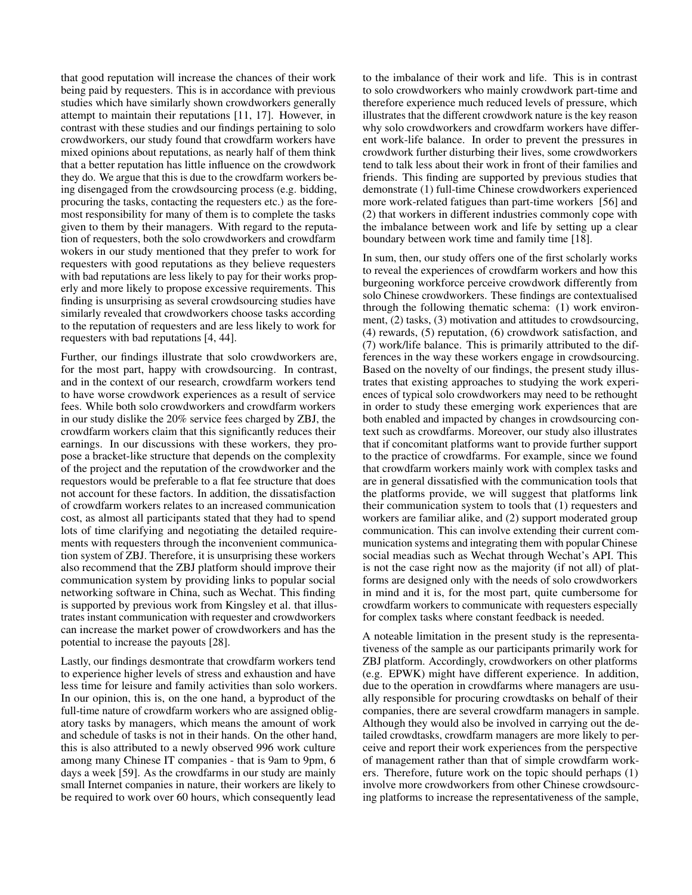that good reputation will increase the chances of their work being paid by requesters. This is in accordance with previous studies which have similarly shown crowdworkers generally attempt to maintain their reputations [\[11,](#page-12-10) [17\]](#page-12-2). However, in contrast with these studies and our findings pertaining to solo crowdworkers, our study found that crowdfarm workers have mixed opinions about reputations, as nearly half of them think that a better reputation has little influence on the crowdwork they do. We argue that this is due to the crowdfarm workers being disengaged from the crowdsourcing process (e.g. bidding, procuring the tasks, contacting the requesters etc.) as the foremost responsibility for many of them is to complete the tasks given to them by their managers. With regard to the reputation of requesters, both the solo crowdworkers and crowdfarm wokers in our study mentioned that they prefer to work for requesters with good reputations as they believe requesters with bad reputations are less likely to pay for their works properly and more likely to propose excessive requirements. This finding is unsurprising as several crowdsourcing studies have similarly revealed that crowdworkers choose tasks according to the reputation of requesters and are less likely to work for requesters with bad reputations [\[4,](#page-12-13) [44\]](#page-14-14).

Further, our findings illustrate that solo crowdworkers are, for the most part, happy with crowdsourcing. In contrast, and in the context of our research, crowdfarm workers tend to have worse crowdwork experiences as a result of service fees. While both solo crowdworkers and crowdfarm workers in our study dislike the 20% service fees charged by ZBJ, the crowdfarm workers claim that this significantly reduces their earnings. In our discussions with these workers, they propose a bracket-like structure that depends on the complexity of the project and the reputation of the crowdworker and the requestors would be preferable to a flat fee structure that does not account for these factors. In addition, the dissatisfaction of crowdfarm workers relates to an increased communication cost, as almost all participants stated that they had to spend lots of time clarifying and negotiating the detailed requirements with requesters through the inconvenient communication system of ZBJ. Therefore, it is unsurprising these workers also recommend that the ZBJ platform should improve their communication system by providing links to popular social networking software in China, such as Wechat. This finding is supported by previous work from Kingsley et al. that illustrates instant communication with requester and crowdworkers can increase the market power of crowdworkers and has the potential to increase the payouts [\[28\]](#page-13-19).

Lastly, our findings desmontrate that crowdfarm workers tend to experience higher levels of stress and exhaustion and have less time for leisure and family activities than solo workers. In our opinion, this is, on the one hand, a byproduct of the full-time nature of crowdfarm workers who are assigned obligatory tasks by managers, which means the amount of work and schedule of tasks is not in their hands. On the other hand, this is also attributed to a newly observed 996 work culture among many Chinese IT companies - that is 9am to 9pm, 6 days a week [\[59\]](#page-14-23). As the crowdfarms in our study are mainly small Internet companies in nature, their workers are likely to be required to work over 60 hours, which consequently lead

to the imbalance of their work and life. This is in contrast to solo crowdworkers who mainly crowdwork part-time and therefore experience much reduced levels of pressure, which illustrates that the different crowdwork nature is the key reason why solo crowdworkers and crowdfarm workers have different work-life balance. In order to prevent the pressures in crowdwork further disturbing their lives, some crowdworkers tend to talk less about their work in front of their families and friends. This finding are supported by previous studies that demonstrate (1) full-time Chinese crowdworkers experienced more work-related fatigues than part-time workers [\[56\]](#page-14-7) and (2) that workers in different industries commonly cope with the imbalance between work and life by setting up a clear boundary between work time and family time [\[18\]](#page-12-20).

In sum, then, our study offers one of the first scholarly works to reveal the experiences of crowdfarm workers and how this burgeoning workforce perceive crowdwork differently from solo Chinese crowdworkers. These findings are contextualised through the following thematic schema: (1) work environment, (2) tasks, (3) motivation and attitudes to crowdsourcing, (4) rewards, (5) reputation, (6) crowdwork satisfaction, and (7) work/life balance. This is primarily attributed to the differences in the way these workers engage in crowdsourcing. Based on the novelty of our findings, the present study illustrates that existing approaches to studying the work experiences of typical solo crowdworkers may need to be rethought in order to study these emerging work experiences that are both enabled and impacted by changes in crowdsourcing context such as crowdfarms. Moreover, our study also illustrates that if concomitant platforms want to provide further support to the practice of crowdfarms. For example, since we found that crowdfarm workers mainly work with complex tasks and are in general dissatisfied with the communication tools that the platforms provide, we will suggest that platforms link their communication system to tools that (1) requesters and workers are familiar alike, and (2) support moderated group communication. This can involve extending their current communication systems and integrating them with popular Chinese social meadias such as Wechat through Wechat's API. This is not the case right now as the majority (if not all) of platforms are designed only with the needs of solo crowdworkers in mind and it is, for the most part, quite cumbersome for crowdfarm workers to communicate with requesters especially for complex tasks where constant feedback is needed.

A noteable limitation in the present study is the representativeness of the sample as our participants primarily work for ZBJ platform. Accordingly, crowdworkers on other platforms (e.g. EPWK) might have different experience. In addition, due to the operation in crowdfarms where managers are usually responsible for procuring crowdtasks on behalf of their companies, there are several crowdfarm managers in sample. Although they would also be involved in carrying out the detailed crowdtasks, crowdfarm managers are more likely to perceive and report their work experiences from the perspective of management rather than that of simple crowdfarm workers. Therefore, future work on the topic should perhaps (1) involve more crowdworkers from other Chinese crowdsourcing platforms to increase the representativeness of the sample,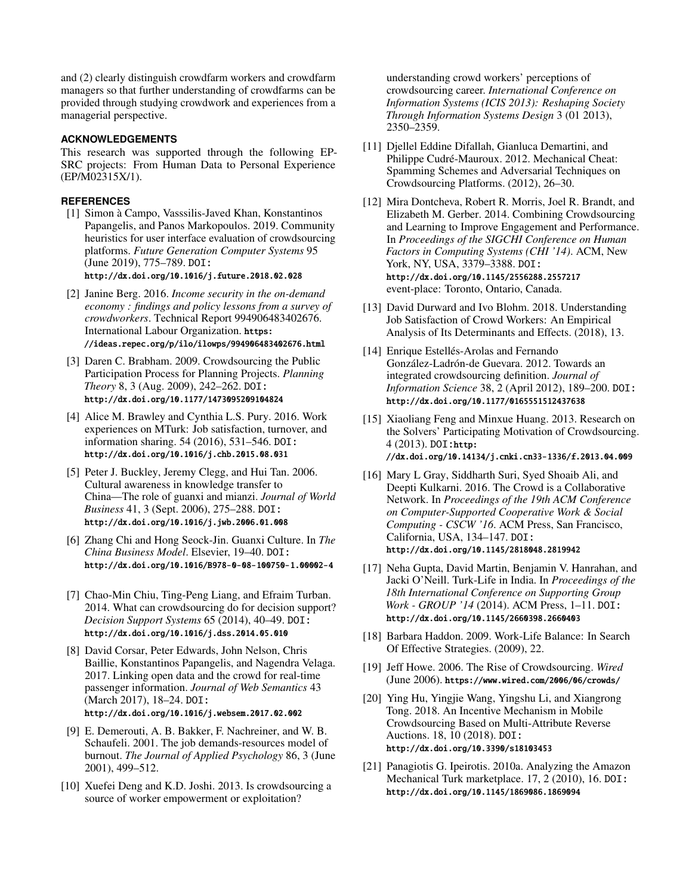and (2) clearly distinguish crowdfarm workers and crowdfarm managers so that further understanding of crowdfarms can be provided through studying crowdwork and experiences from a managerial perspective.

#### **ACKNOWLEDGEMENTS**

This research was supported through the following EP-SRC projects: From Human Data to Personal Experience (EP/M02315X/1).

#### <span id="page-12-1"></span>**REFERENCES**

- [1] Simon à Campo, Vasssilis-Javed Khan, Konstantinos Papangelis, and Panos Markopoulos. 2019. Community heuristics for user interface evaluation of crowdsourcing platforms. *Future Generation Computer Systems* 95 (June 2019), 775–789. DOI: <http://dx.doi.org/10.1016/j.future.2018.02.028>
- <span id="page-12-9"></span>[2] Janine Berg. 2016. *Income security in the on-demand economy : findings and policy lessons from a survey of crowdworkers*. Technical Report 994906483402676. International Labour Organization. [https:](https://ideas.repec.org/p/ilo/ilowps/994906483402676.html) [//ideas.repec.org/p/ilo/ilowps/994906483402676.html](https://ideas.repec.org/p/ilo/ilowps/994906483402676.html)
- <span id="page-12-5"></span>[3] Daren C. Brabham. 2009. Crowdsourcing the Public Participation Process for Planning Projects. *Planning Theory* 8, 3 (Aug. 2009), 242–262. DOI: <http://dx.doi.org/10.1177/1473095209104824>
- <span id="page-12-13"></span>[4] Alice M. Brawley and Cynthia L.S. Pury. 2016. Work experiences on MTurk: Job satisfaction, turnover, and information sharing. 54 (2016), 531–546. DOI: <http://dx.doi.org/10.1016/j.chb.2015.08.031>
- <span id="page-12-19"></span>[5] Peter J. Buckley, Jeremy Clegg, and Hui Tan. 2006. Cultural awareness in knowledge transfer to China—The role of guanxi and mianzi. *Journal of World Business* 41, 3 (Sept. 2006), 275–288. DOI: <http://dx.doi.org/10.1016/j.jwb.2006.01.008>
- <span id="page-12-18"></span>[6] Zhang Chi and Hong Seock-Jin. Guanxi Culture. In *The China Business Model*. Elsevier, 19–40. DOI: <http://dx.doi.org/10.1016/B978-0-08-100750-1.00002-4>
- <span id="page-12-4"></span>[7] Chao-Min Chiu, Ting-Peng Liang, and Efraim Turban. 2014. What can crowdsourcing do for decision support? *Decision Support Systems* 65 (2014), 40–49. DOI: <http://dx.doi.org/10.1016/j.dss.2014.05.010>
- <span id="page-12-6"></span>[8] David Corsar, Peter Edwards, John Nelson, Chris Baillie, Konstantinos Papangelis, and Nagendra Velaga. 2017. Linking open data and the crowd for real-time passenger information. *Journal of Web Semantics* 43 (March 2017), 18–24. DOI: <http://dx.doi.org/10.1016/j.websem.2017.02.002>
- <span id="page-12-15"></span>[9] E. Demerouti, A. B. Bakker, F. Nachreiner, and W. B. Schaufeli. 2001. The job demands-resources model of burnout. *The Journal of Applied Psychology* 86, 3 (June 2001), 499–512.
- <span id="page-12-3"></span>[10] Xuefei Deng and K.D. Joshi. 2013. Is crowdsourcing a source of worker empowerment or exploitation?

understanding crowd workers' perceptions of crowdsourcing career. *International Conference on Information Systems (ICIS 2013): Reshaping Society Through Information Systems Design* 3 (01 2013), 2350–2359.

- <span id="page-12-10"></span>[11] Djellel Eddine Difallah, Gianluca Demartini, and Philippe Cudré-Mauroux. 2012. Mechanical Cheat: Spamming Schemes and Adversarial Techniques on Crowdsourcing Platforms. (2012), 26–30.
- <span id="page-12-16"></span>[12] Mira Dontcheva, Robert R. Morris, Joel R. Brandt, and Elizabeth M. Gerber. 2014. Combining Crowdsourcing and Learning to Improve Engagement and Performance. In *Proceedings of the SIGCHI Conference on Human Factors in Computing Systems (CHI '14)*. ACM, New York, NY, USA, 3379–3388. DOI: <http://dx.doi.org/10.1145/2556288.2557217> event-place: Toronto, Ontario, Canada.
- <span id="page-12-11"></span>[13] David Durward and Ivo Blohm. 2018. Understanding Job Satisfaction of Crowd Workers: An Empirical Analysis of Its Determinants and Effects. (2018), 13.
- <span id="page-12-7"></span>[14] Enrique Estellés-Arolas and Fernando González-Ladrón-de Guevara. 2012. Towards an integrated crowdsourcing definition. *Journal of Information Science* 38, 2 (April 2012), 189–200. DOI: <http://dx.doi.org/10.1177/0165551512437638>
- <span id="page-12-14"></span>[15] Xiaoliang Feng and Minxue Huang. 2013. Research on the Solvers' Participating Motivation of Crowdsourcing. 4 (2013). DOI:[http:](http://dx.doi.org/10.14134/j.cnki.cn33-1336/f.2013.04.009) [//dx.doi.org/10.14134/j.cnki.cn33-1336/f.2013.04.009](http://dx.doi.org/10.14134/j.cnki.cn33-1336/f.2013.04.009)
- <span id="page-12-17"></span>[16] Mary L Gray, Siddharth Suri, Syed Shoaib Ali, and Deepti Kulkarni. 2016. The Crowd is a Collaborative Network. In *Proceedings of the 19th ACM Conference on Computer-Supported Cooperative Work & Social Computing - CSCW '16*. ACM Press, San Francisco, California, USA, 134–147. DOI: <http://dx.doi.org/10.1145/2818048.2819942>
- <span id="page-12-2"></span>[17] Neha Gupta, David Martin, Benjamin V. Hanrahan, and Jacki O'Neill. Turk-Life in India. In *Proceedings of the 18th International Conference on Supporting Group Work - GROUP '14* (2014). ACM Press, 1–11. DOI: <http://dx.doi.org/10.1145/2660398.2660403>
- <span id="page-12-20"></span>[18] Barbara Haddon. 2009. Work-Life Balance: In Search Of Effective Strategies. (2009), 22.
- <span id="page-12-0"></span>[19] Jeff Howe. 2006. The Rise of Crowdsourcing. *Wired* (June 2006). <https://www.wired.com/2006/06/crowds/>
- <span id="page-12-12"></span>[20] Ying Hu, Yingjie Wang, Yingshu Li, and Xiangrong Tong. 2018. An Incentive Mechanism in Mobile Crowdsourcing Based on Multi-Attribute Reverse Auctions. 18, 10 (2018). DOI: <http://dx.doi.org/10.3390/s18103453>
- <span id="page-12-8"></span>[21] Panagiotis G. Ipeirotis. 2010a. Analyzing the Amazon Mechanical Turk marketplace. 17, 2 (2010), 16. DOI: <http://dx.doi.org/10.1145/1869086.1869094>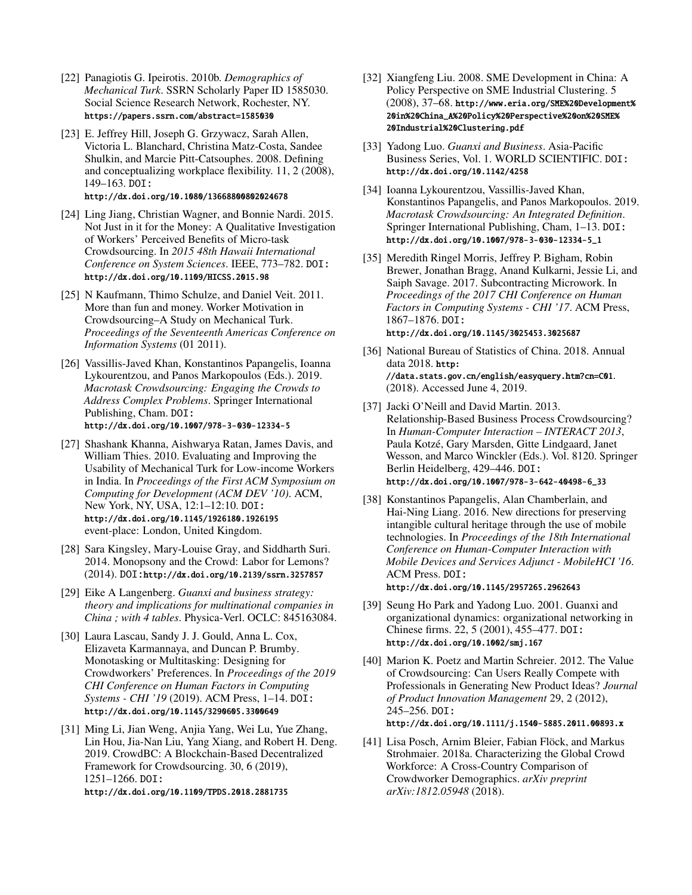- <span id="page-13-6"></span>[22] Panagiotis G. Ipeirotis. 2010b. *Demographics of Mechanical Turk*. SSRN Scholarly Paper ID 1585030. Social Science Research Network, Rochester, NY. <https://papers.ssrn.com/abstract=1585030>
- <span id="page-13-9"></span>[23] E. Jeffrey Hill, Joseph G. Grzywacz, Sarah Allen, Victoria L. Blanchard, Christina Matz-Costa, Sandee Shulkin, and Marcie Pitt-Catsouphes. 2008. Defining and conceptualizing workplace flexibility. 11, 2 (2008), 149–163. DOI: <http://dx.doi.org/10.1080/13668800802024678>
- <span id="page-13-7"></span>[24] Ling Jiang, Christian Wagner, and Bonnie Nardi. 2015. Not Just in it for the Money: A Qualitative Investigation of Workers' Perceived Benefits of Micro-task Crowdsourcing. In *2015 48th Hawaii International Conference on System Sciences*. IEEE, 773–782. DOI: <http://dx.doi.org/10.1109/HICSS.2015.98>
- <span id="page-13-14"></span>[25] N Kaufmann, Thimo Schulze, and Daniel Veit. 2011. More than fun and money. Worker Motivation in Crowdsourcing–A Study on Mechanical Turk. *Proceedings of the Seventeenth Americas Conference on Information Systems* (01 2011).
- <span id="page-13-5"></span>[26] Vassillis-Javed Khan, Konstantinos Papangelis, Ioanna Lykourentzou, and Panos Markopoulos (Eds.). 2019. *Macrotask Crowdsourcing: Engaging the Crowds to Address Complex Problems*. Springer International Publishing, Cham. DOI: <http://dx.doi.org/10.1007/978-3-030-12334-5>
- <span id="page-13-10"></span>[27] Shashank Khanna, Aishwarya Ratan, James Davis, and William Thies. 2010. Evaluating and Improving the Usability of Mechanical Turk for Low-income Workers in India. In *Proceedings of the First ACM Symposium on Computing for Development (ACM DEV '10)*. ACM, New York, NY, USA, 12:1–12:10. DOI: <http://dx.doi.org/10.1145/1926180.1926195> event-place: London, United Kingdom.
- <span id="page-13-19"></span>[28] Sara Kingsley, Mary-Louise Gray, and Siddharth Suri. 2014. Monopsony and the Crowd: Labor for Lemons? (2014). DOI:<http://dx.doi.org/10.2139/ssrn.3257857>
- <span id="page-13-17"></span>[29] Eike A Langenberg. *Guanxi and business strategy: theory and implications for multinational companies in China ; with 4 tables*. Physica-Verl. OCLC: 845163084.
- <span id="page-13-1"></span>[30] Laura Lascau, Sandy J. J. Gould, Anna L. Cox, Elizaveta Karmannaya, and Duncan P. Brumby. Monotasking or Multitasking: Designing for Crowdworkers' Preferences. In *Proceedings of the 2019 CHI Conference on Human Factors in Computing Systems - CHI '19* (2019). ACM Press, 1–14. DOI: <http://dx.doi.org/10.1145/3290605.3300649>
- <span id="page-13-11"></span>[31] Ming Li, Jian Weng, Anjia Yang, Wei Lu, Yue Zhang, Lin Hou, Jia-Nan Liu, Yang Xiang, and Robert H. Deng. 2019. CrowdBC: A Blockchain-Based Decentralized Framework for Crowdsourcing. 30, 6 (2019), 1251–1266. DOI:

<http://dx.doi.org/10.1109/TPDS.2018.2881735>

- <span id="page-13-12"></span>[32] Xiangfeng Liu. 2008. SME Development in China: A Policy Perspective on SME Industrial Clustering. 5 (2008), 37–68. [http://www.eria.org/SME%20Development%](http://www.eria.org/SME%20Development%20in%20China_A%20Policy%20Perspective%20on%20SME%20Industrial%20Clustering.pdf) [20in%20China\\_A%20Policy%20Perspective%20on%20SME%](http://www.eria.org/SME%20Development%20in%20China_A%20Policy%20Perspective%20on%20SME%20Industrial%20Clustering.pdf) [20Industrial%20Clustering.pdf](http://www.eria.org/SME%20Development%20in%20China_A%20Policy%20Perspective%20on%20SME%20Industrial%20Clustering.pdf)
- <span id="page-13-16"></span>[33] Yadong Luo. *Guanxi and Business*. Asia-Pacific Business Series, Vol. 1. WORLD SCIENTIFIC. DOI: <http://dx.doi.org/10.1142/4258>
- <span id="page-13-4"></span>[34] Ioanna Lykourentzou, Vassillis-Javed Khan, Konstantinos Papangelis, and Panos Markopoulos. 2019. *Macrotask Crowdsourcing: An Integrated Definition*. Springer International Publishing, Cham, 1–13. DOI: [http://dx.doi.org/10.1007/978-3-030-12334-5\\_1](http://dx.doi.org/10.1007/978-3-030-12334-5_1)
- <span id="page-13-13"></span>[35] Meredith Ringel Morris, Jeffrey P. Bigham, Robin Brewer, Jonathan Bragg, Anand Kulkarni, Jessie Li, and Saiph Savage. 2017. Subcontracting Microwork. In *Proceedings of the 2017 CHI Conference on Human Factors in Computing Systems - CHI '17*. ACM Press, 1867–1876. DOI: <http://dx.doi.org/10.1145/3025453.3025687>
- <span id="page-13-8"></span>[36] National Bureau of Statistics of China. 2018. Annual data 2018. [http:](http://data.stats.gov.cn/english/easyquery.htm?cn=C01) [//data.stats.gov.cn/english/easyquery.htm?cn=C01](http://data.stats.gov.cn/english/easyquery.htm?cn=C01). (2018). Accessed June 4, 2019.
- <span id="page-13-18"></span>[37] Jacki O'Neill and David Martin. 2013. Relationship-Based Business Process Crowdsourcing? In *Human-Computer Interaction – INTERACT 2013*, Paula Kotzé, Gary Marsden, Gitte Lindgaard, Janet Wesson, and Marco Winckler (Eds.). Vol. 8120. Springer Berlin Heidelberg, 429–446. DOI: [http://dx.doi.org/10.1007/978-3-642-40498-6\\_33](http://dx.doi.org/10.1007/978-3-642-40498-6_33)
- <span id="page-13-2"></span>[38] Konstantinos Papangelis, Alan Chamberlain, and Hai-Ning Liang. 2016. New directions for preserving intangible cultural heritage through the use of mobile technologies. In *Proceedings of the 18th International Conference on Human-Computer Interaction with Mobile Devices and Services Adjunct - MobileHCI '16*. ACM Press. DOI: <http://dx.doi.org/10.1145/2957265.2962643>
- <span id="page-13-15"></span>[39] Seung Ho Park and Yadong Luo. 2001. Guanxi and organizational dynamics: organizational networking in Chinese firms. 22, 5 (2001), 455–477. DOI: <http://dx.doi.org/10.1002/smj.167>
- <span id="page-13-3"></span>[40] Marion K. Poetz and Martin Schreier. 2012. The Value of Crowdsourcing: Can Users Really Compete with Professionals in Generating New Product Ideas? *Journal of Product Innovation Management* 29, 2 (2012), 245–256. DOI: <http://dx.doi.org/10.1111/j.1540-5885.2011.00893.x>
- <span id="page-13-0"></span>[41] Lisa Posch, Arnim Bleier, Fabian Flöck, and Markus Strohmaier. 2018a. Characterizing the Global Crowd Workforce: A Cross-Country Comparison of Crowdworker Demographics. *arXiv preprint arXiv:1812.05948* (2018).